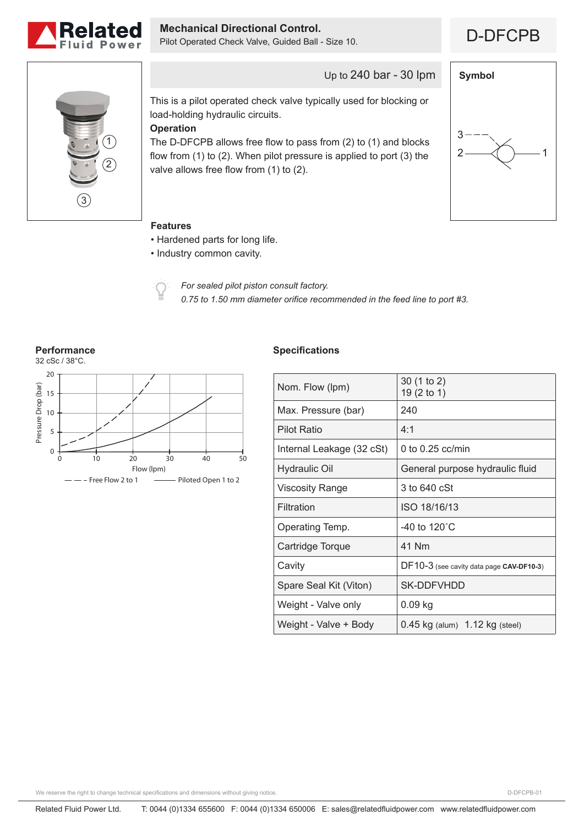

**Mechanical Directional Control.**<br>Pilot Operated Check Valve, Guided Ball - Size 10. **DECPB** 





Up to 240 bar - 30 lpm

This is a pilot operated check valve typically used for blocking or load-holding hydraulic circuits.

# **Operation**

The D-DFCPB allows free flow to pass from (2) to (1) and blocks flow from (1) to (2). When pilot pressure is applied to port (3) the valve allows free flow from (1) to (2).



### **Features**

- Hardened parts for long life.
- Industry common cavity.



*For sealed pilot piston consult factory. 0.75 to 1.50 mm diameter orifice recommended in the feed line to port #3.*



## **Specifications**

| Nom. Flow (lpm)           | 30 (1 to 2)<br>19 (2 to 1)               |
|---------------------------|------------------------------------------|
| Max. Pressure (bar)       | 240                                      |
| <b>Pilot Ratio</b>        | 4:1                                      |
| Internal Leakage (32 cSt) | 0 to $0.25$ cc/min                       |
| <b>Hydraulic Oil</b>      | General purpose hydraulic fluid          |
| Viscosity Range           | 3 to 640 cSt                             |
| Filtration                | ISO 18/16/13                             |
| Operating Temp.           | -40 to 120 $^{\circ}$ C                  |
| Cartridge Torque          | 41 Nm                                    |
| Cavity                    | DF10-3 (see cavity data page CAV-DF10-3) |
| Spare Seal Kit (Viton)    | SK-DDFVHDD                               |
| Weight - Valve only       | $0.09$ kg                                |
| Weight - Valve + Body     | $0.45$ kg (alum) $1.12$ kg (steel)       |

We reserve the right to change technical specifications and dimensions without giving notice.